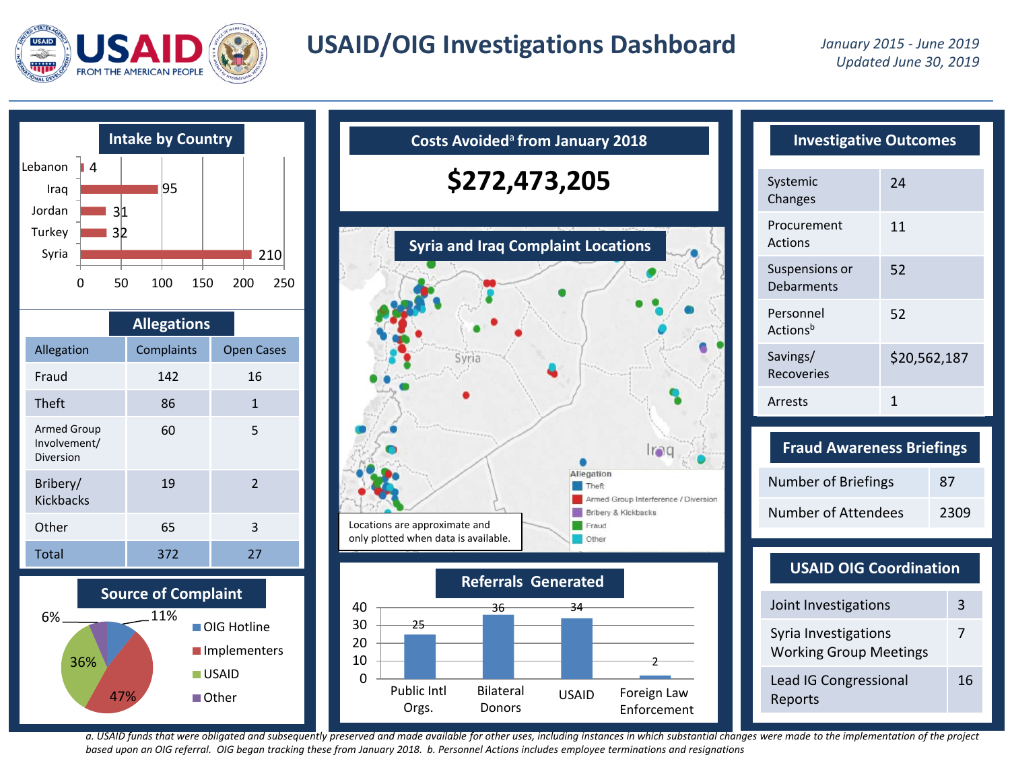

# **USAID/OIG Investigations Dashboard** *January 2015 - June 2019*



|                                          | <b>Allegations</b> |  |                   |  |
|------------------------------------------|--------------------|--|-------------------|--|
| Allegation                               | Complaints         |  | <b>Open Cases</b> |  |
| Fraud                                    | 142                |  | 16                |  |
| <b>Theft</b>                             | 86                 |  | $\mathbf{1}$      |  |
| Armed Group<br>Involvement/<br>Diversion | 60                 |  | 5                 |  |
| Bribery/<br><b>Kickbacks</b>             | 19                 |  | $\mathcal{P}$     |  |
| Other                                    | 65                 |  | 3                 |  |
| <b>Total</b>                             | 372                |  | 27                |  |





| <b>Investigative Outcomes</b>     |              |  |  |  |
|-----------------------------------|--------------|--|--|--|
| Systemic<br>Changes               | 24           |  |  |  |
| Procurement<br>Actions            | 11           |  |  |  |
| Suspensions or<br>Debarments      | 52           |  |  |  |
| Personnel<br>Actions <sup>b</sup> | 52           |  |  |  |
| Savings/<br>Recoveries            | \$20,562,187 |  |  |  |
| Arrests                           | 1            |  |  |  |

| <b>Fraud Awareness Briefings</b> |      |
|----------------------------------|------|
| Number of Briefings              | 87   |
| Number of Attendees              | 2309 |

#### **USAID OIG Coordination**

| Joint Investigations                                  | з  |
|-------------------------------------------------------|----|
| Syria Investigations<br><b>Working Group Meetings</b> | 7  |
| Lead IG Congressional<br>Reports                      | 16 |

*a. USAID funds that were obligated and subsequently preserved and made available for other uses, including instances in which substantial changes were made to the implementation of the project based upon an OIG referral. OIG began tracking these from January 2018. b. Personnel Actions includes employee terminations and resignations*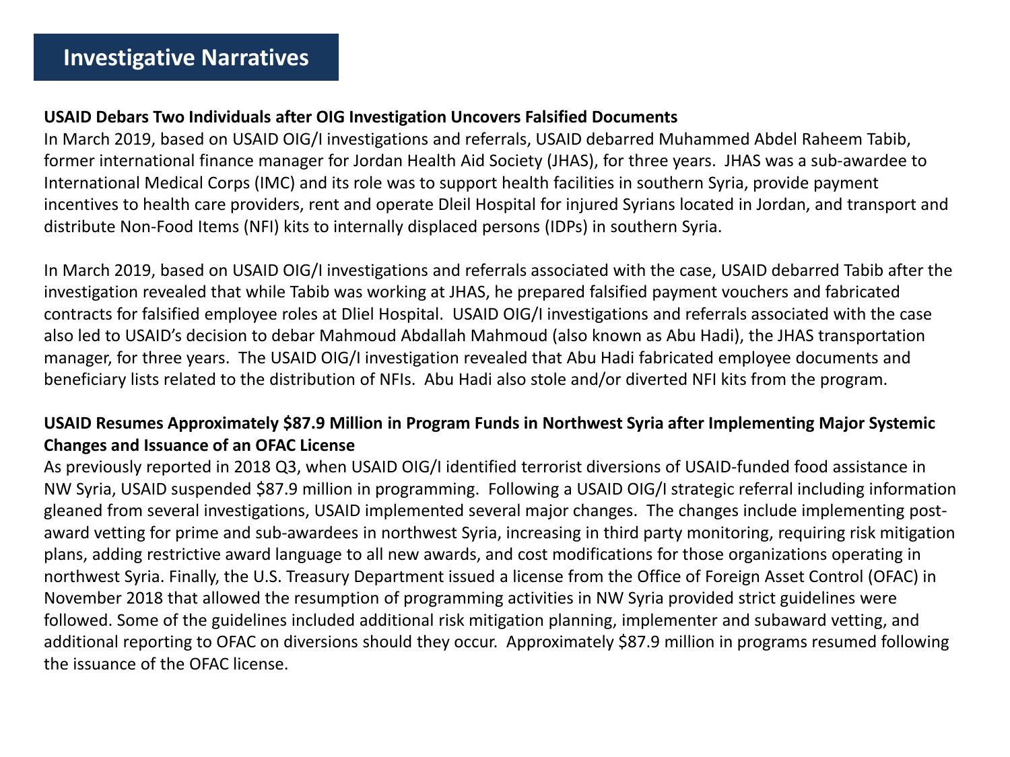## **USAID Debars Two Individuals after OIG Investigation Uncovers Falsified Documents**

In March 2019, based on USAID OIG/I investigations and referrals, USAID debarred Muhammed Abdel Raheem Tabib, former international finance manager for Jordan Health Aid Society (JHAS), for three years. JHAS was a sub-awardee to International Medical Corps (IMC) and its role was to support health facilities in southern Syria, provide payment incentives to health care providers, rent and operate Dleil Hospital for injured Syrians located in Jordan, and transport and distribute Non-Food Items (NFI) kits to internally displaced persons (IDPs) in southern Syria.

In March 2019, based on USAID OIG/I investigations and referrals associated with the case, USAID debarred Tabib after the investigation revealed that while Tabib was working at JHAS, he prepared falsified payment vouchers and fabricated contracts for falsified employee roles at Dliel Hospital. USAID OIG/I investigations and referrals associated with the case also led to USAID's decision to debar Mahmoud Abdallah Mahmoud (also known as Abu Hadi), the JHAS transportation manager, for three years. The USAID OIG/I investigation revealed that Abu Hadi fabricated employee documents and beneficiary lists related to the distribution of NFIs. Abu Hadi also stole and/or diverted NFI kits from the program.

## **USAID Resumes Approximately \$87.9 Million in Program Funds in Northwest Syria after Implementing Major Systemic Changes and Issuance of an OFAC License**

As previously reported in 2018 Q3, when USAID OIG/I identified terrorist diversions of USAID-funded food assistance in NW Syria, USAID suspended \$87.9 million in programming. Following a USAID OIG/I strategic referral including information gleaned from several investigations, USAID implemented several major changes. The changes include implementing postaward vetting for prime and sub-awardees in northwest Syria, increasing in third party monitoring, requiring risk mitigation plans, adding restrictive award language to all new awards, and cost modifications for those organizations operating in northwest Syria. Finally, the U.S. Treasury Department issued a license from the Office of Foreign Asset Control (OFAC) in November 2018 that allowed the resumption of programming activities in NW Syria provided strict guidelines were followed. Some of the guidelines included additional risk mitigation planning, implementer and subaward vetting, and additional reporting to OFAC on diversions should they occur. Approximately \$87.9 million in programs resumed following the issuance of the OFAC license.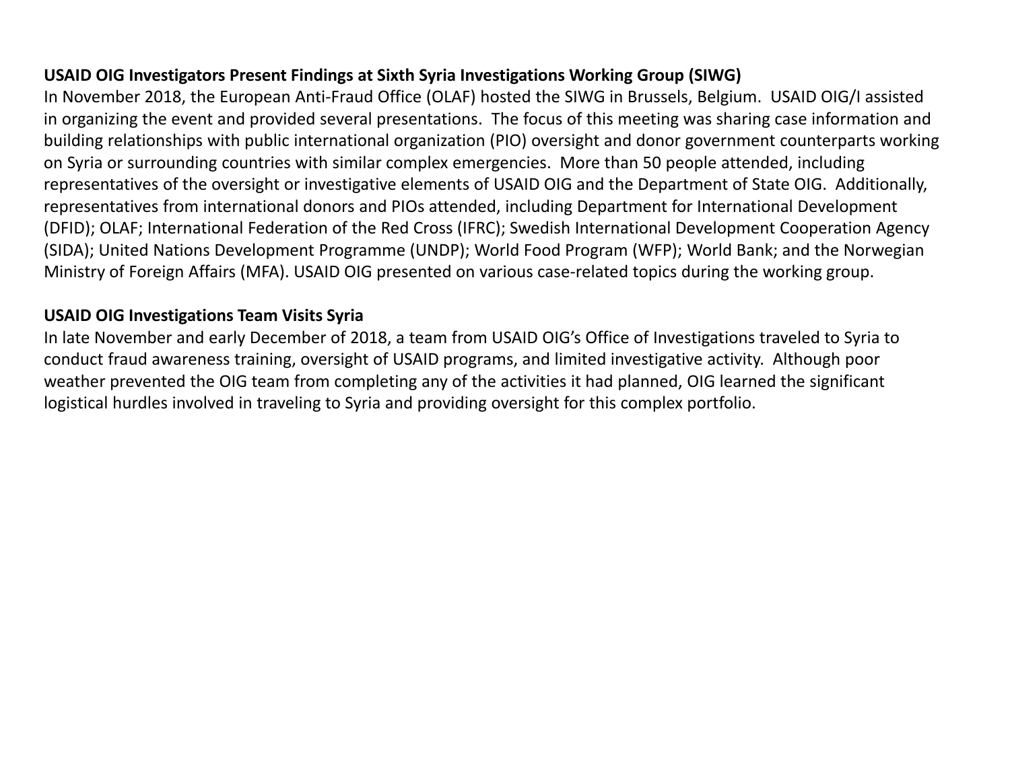## **USAID OIG Investigators Present Findings at Sixth Syria Investigations Working Group (SIWG)**

In November 2018, the European Anti-Fraud Office (OLAF) hosted the SIWG in Brussels, Belgium. USAID OIG/I assisted in organizing the event and provided several presentations. The focus of this meeting was sharing case information and building relationships with public international organization (PIO) oversight and donor government counterparts working on Syria or surrounding countries with similar complex emergencies. More than 50 people attended, including representatives of the oversight or investigative elements of USAID OIG and the Department of State OIG. Additionally, representatives from international donors and PIOs attended, including Department for International Development (DFID); OLAF; International Federation of the Red Cross (IFRC); Swedish International Development Cooperation Agency (SIDA); United Nations Development Programme (UNDP); World Food Program (WFP); World Bank; and the Norwegian Ministry of Foreign Affairs (MFA). USAID OIG presented on various case-related topics during the working group.

#### **USAID OIG Investigations Team Visits Syria**

In late November and early December of 2018, a team from USAID OIG's Office of Investigations traveled to Syria to conduct fraud awareness training, oversight of USAID programs, and limited investigative activity. Although poor weather prevented the OIG team from completing any of the activities it had planned, OIG learned the significant logistical hurdles involved in traveling to Syria and providing oversight for this complex portfolio.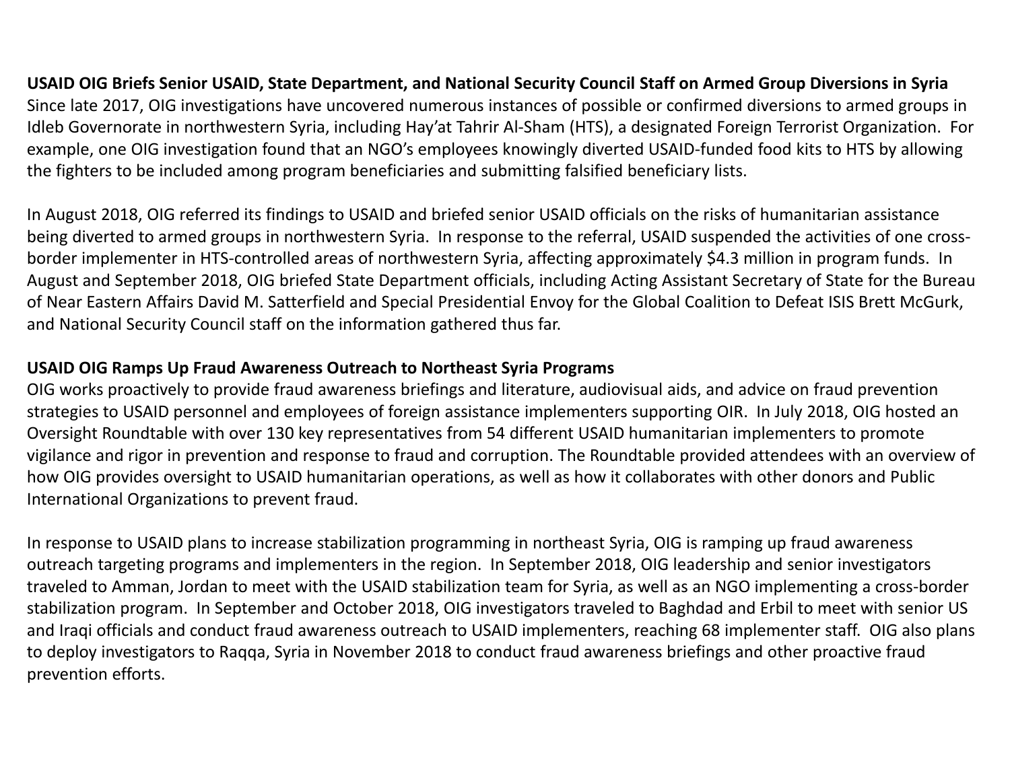## **USAID OIG Briefs Senior USAID, State Department, and National Security Council Staff on Armed Group Diversions in Syria** Since late 2017, OIG investigations have uncovered numerous instances of possible or confirmed diversions to armed groups in Idleb Governorate in northwestern Syria, including Hay'at Tahrir Al-Sham (HTS), a designated Foreign Terrorist Organization. For example, one OIG investigation found that an NGO's employees knowingly diverted USAID-funded food kits to HTS by allowing the fighters to be included among program beneficiaries and submitting falsified beneficiary lists.

In August 2018, OIG referred its findings to USAID and briefed senior USAID officials on the risks of humanitarian assistance being diverted to armed groups in northwestern Syria. In response to the referral, USAID suspended the activities of one crossborder implementer in HTS-controlled areas of northwestern Syria, affecting approximately \$4.3 million in program funds. In August and September 2018, OIG briefed State Department officials, including Acting Assistant Secretary of State for the Bureau of Near Eastern Affairs David M. Satterfield and Special Presidential Envoy for the Global Coalition to Defeat ISIS Brett McGurk, and National Security Council staff on the information gathered thus far.

## **USAID OIG Ramps Up Fraud Awareness Outreach to Northeast Syria Programs**

OIG works proactively to provide fraud awareness briefings and literature, audiovisual aids, and advice on fraud prevention strategies to USAID personnel and employees of foreign assistance implementers supporting OIR. In July 2018, OIG hosted an Oversight Roundtable with over 130 key representatives from 54 different USAID humanitarian implementers to promote vigilance and rigor in prevention and response to fraud and corruption. The Roundtable provided attendees with an overview of how OIG provides oversight to USAID humanitarian operations, as well as how it collaborates with other donors and Public International Organizations to prevent fraud.

In response to USAID plans to increase stabilization programming in northeast Syria, OIG is ramping up fraud awareness outreach targeting programs and implementers in the region. In September 2018, OIG leadership and senior investigators traveled to Amman, Jordan to meet with the USAID stabilization team for Syria, as well as an NGO implementing a cross-border stabilization program. In September and October 2018, OIG investigators traveled to Baghdad and Erbil to meet with senior US and Iraqi officials and conduct fraud awareness outreach to USAID implementers, reaching 68 implementer staff. OIG also plans to deploy investigators to Raqqa, Syria in November 2018 to conduct fraud awareness briefings and other proactive fraud prevention efforts.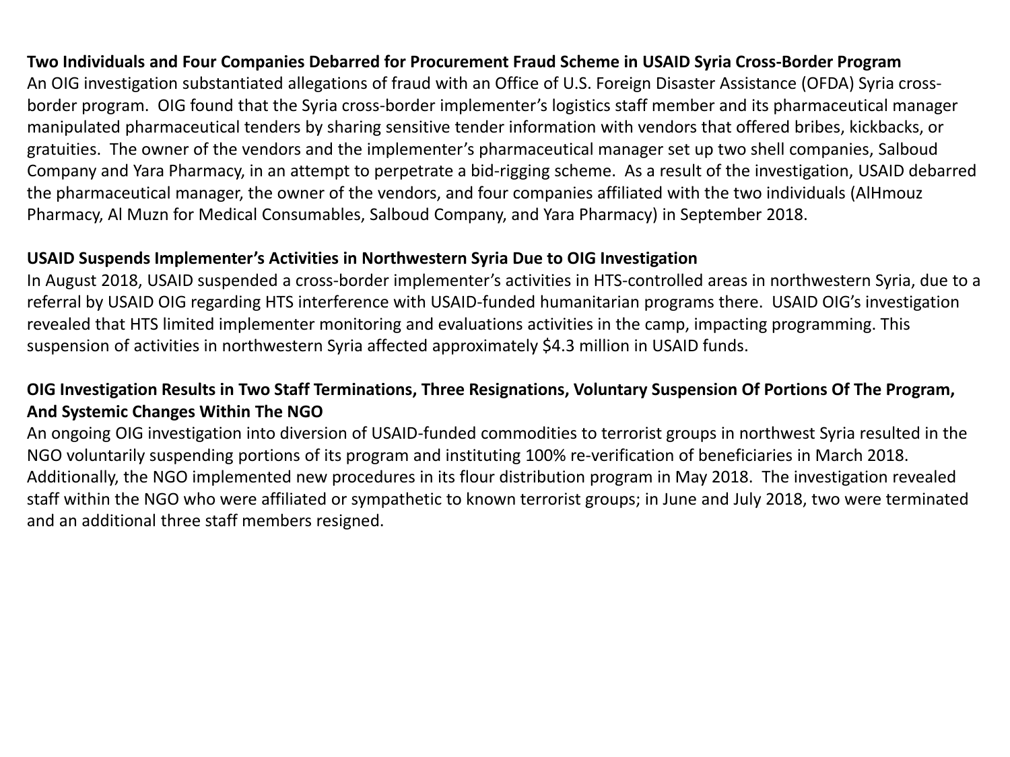## **Two Individuals and Four Companies Debarred for Procurement Fraud Scheme in USAID Syria Cross-Border Program**

An OIG investigation substantiated allegations of fraud with an Office of U.S. Foreign Disaster Assistance (OFDA) Syria crossborder program. OIG found that the Syria cross-border implementer's logistics staff member and its pharmaceutical manager manipulated pharmaceutical tenders by sharing sensitive tender information with vendors that offered bribes, kickbacks, or gratuities. The owner of the vendors and the implementer's pharmaceutical manager set up two shell companies, Salboud Company and Yara Pharmacy, in an attempt to perpetrate a bid-rigging scheme. As a result of the investigation, USAID debarred the pharmaceutical manager, the owner of the vendors, and four companies affiliated with the two individuals (AlHmouz Pharmacy, Al Muzn for Medical Consumables, Salboud Company, and Yara Pharmacy) in September 2018.

#### **USAID Suspends Implementer's Activities in Northwestern Syria Due to OIG Investigation**

In August 2018, USAID suspended a cross-border implementer's activities in HTS-controlled areas in northwestern Syria, due to a referral by USAID OIG regarding HTS interference with USAID-funded humanitarian programs there. USAID OIG's investigation revealed that HTS limited implementer monitoring and evaluations activities in the camp, impacting programming. This suspension of activities in northwestern Syria affected approximately \$4.3 million in USAID funds.

## **OIG Investigation Results in Two Staff Terminations, Three Resignations, Voluntary Suspension Of Portions Of The Program, And Systemic Changes Within The NGO**

An ongoing OIG investigation into diversion of USAID-funded commodities to terrorist groups in northwest Syria resulted in the NGO voluntarily suspending portions of its program and instituting 100% re-verification of beneficiaries in March 2018. Additionally, the NGO implemented new procedures in its flour distribution program in May 2018. The investigation revealed staff within the NGO who were affiliated or sympathetic to known terrorist groups; in June and July 2018, two were terminated and an additional three staff members resigned.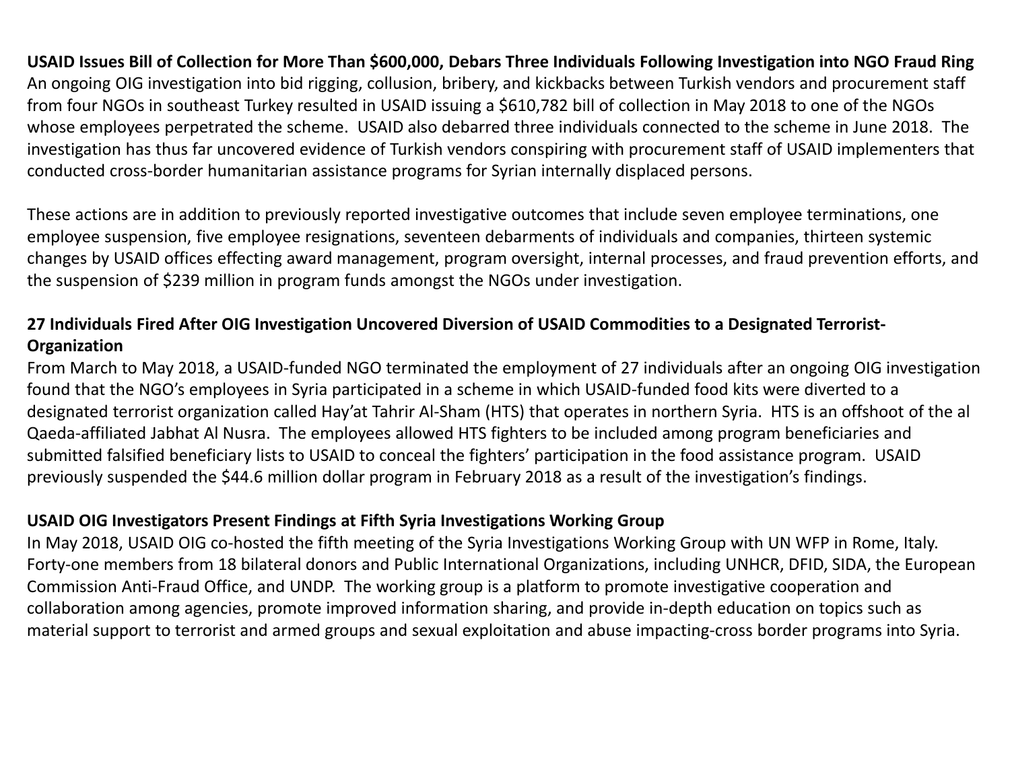**USAID Issues Bill of Collection for More Than \$600,000, Debars Three Individuals Following Investigation into NGO Fraud Ring** An ongoing OIG investigation into bid rigging, collusion, bribery, and kickbacks between Turkish vendors and procurement staff from four NGOs in southeast Turkey resulted in USAID issuing a \$610,782 bill of collection in May 2018 to one of the NGOs whose employees perpetrated the scheme. USAID also debarred three individuals connected to the scheme in June 2018. The investigation has thus far uncovered evidence of Turkish vendors conspiring with procurement staff of USAID implementers that conducted cross-border humanitarian assistance programs for Syrian internally displaced persons.

These actions are in addition to previously reported investigative outcomes that include seven employee terminations, one employee suspension, five employee resignations, seventeen debarments of individuals and companies, thirteen systemic changes by USAID offices effecting award management, program oversight, internal processes, and fraud prevention efforts, and the suspension of \$239 million in program funds amongst the NGOs under investigation.

## **27 Individuals Fired After OIG Investigation Uncovered Diversion of USAID Commodities to a Designated Terrorist-Organization**

From March to May 2018, a USAID-funded NGO terminated the employment of 27 individuals after an ongoing OIG investigation found that the NGO's employees in Syria participated in a scheme in which USAID-funded food kits were diverted to a designated terrorist organization called Hay'at Tahrir Al-Sham (HTS) that operates in northern Syria. HTS is an offshoot of the al Qaeda-affiliated Jabhat Al Nusra. The employees allowed HTS fighters to be included among program beneficiaries and submitted falsified beneficiary lists to USAID to conceal the fighters' participation in the food assistance program. USAID previously suspended the \$44.6 million dollar program in February 2018 as a result of the investigation's findings.

## **USAID OIG Investigators Present Findings at Fifth Syria Investigations Working Group**

In May 2018, USAID OIG co-hosted the fifth meeting of the Syria Investigations Working Group with UN WFP in Rome, Italy. Forty-one members from 18 bilateral donors and Public International Organizations, including UNHCR, DFID, SIDA, the European Commission Anti-Fraud Office, and UNDP. The working group is a platform to promote investigative cooperation and collaboration among agencies, promote improved information sharing, and provide in-depth education on topics such as material support to terrorist and armed groups and sexual exploitation and abuse impacting-cross border programs into Syria.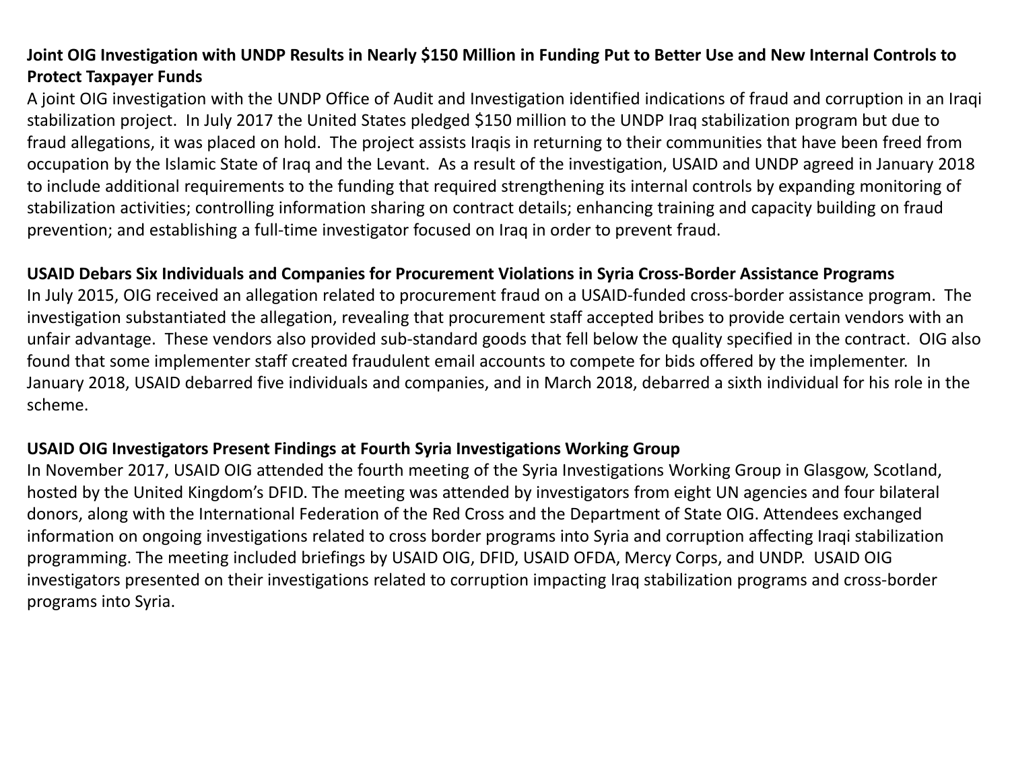## **Joint OIG Investigation with UNDP Results in Nearly \$150 Million in Funding Put to Better Use and New Internal Controls to Protect Taxpayer Funds**

A joint OIG investigation with the UNDP Office of Audit and Investigation identified indications of fraud and corruption in an Iraqi stabilization project. In July 2017 the United States pledged \$150 million to the UNDP Iraq stabilization program but due to fraud allegations, it was placed on hold. The project assists Iraqis in returning to their communities that have been freed from occupation by the Islamic State of Iraq and the Levant. As a result of the investigation, USAID and UNDP agreed in January 2018 to include additional requirements to the funding that required strengthening its internal controls by expanding monitoring of stabilization activities; controlling information sharing on contract details; enhancing training and capacity building on fraud prevention; and establishing a full-time investigator focused on Iraq in order to prevent fraud.

#### **USAID Debars Six Individuals and Companies for Procurement Violations in Syria Cross-Border Assistance Programs**

In July 2015, OIG received an allegation related to procurement fraud on a USAID-funded cross-border assistance program. The investigation substantiated the allegation, revealing that procurement staff accepted bribes to provide certain vendors with an unfair advantage. These vendors also provided sub-standard goods that fell below the quality specified in the contract. OIG also found that some implementer staff created fraudulent email accounts to compete for bids offered by the implementer. In January 2018, USAID debarred five individuals and companies, and in March 2018, debarred a sixth individual for his role in the scheme.

#### **USAID OIG Investigators Present Findings at Fourth Syria Investigations Working Group**

In November 2017, USAID OIG attended the fourth meeting of the Syria Investigations Working Group in Glasgow, Scotland, hosted by the United Kingdom's DFID. The meeting was attended by investigators from eight UN agencies and four bilateral donors, along with the International Federation of the Red Cross and the Department of State OIG. Attendees exchanged information on ongoing investigations related to cross border programs into Syria and corruption affecting Iraqi stabilization programming. The meeting included briefings by USAID OIG, DFID, USAID OFDA, Mercy Corps, and UNDP. USAID OIG investigators presented on their investigations related to corruption impacting Iraq stabilization programs and cross-border programs into Syria.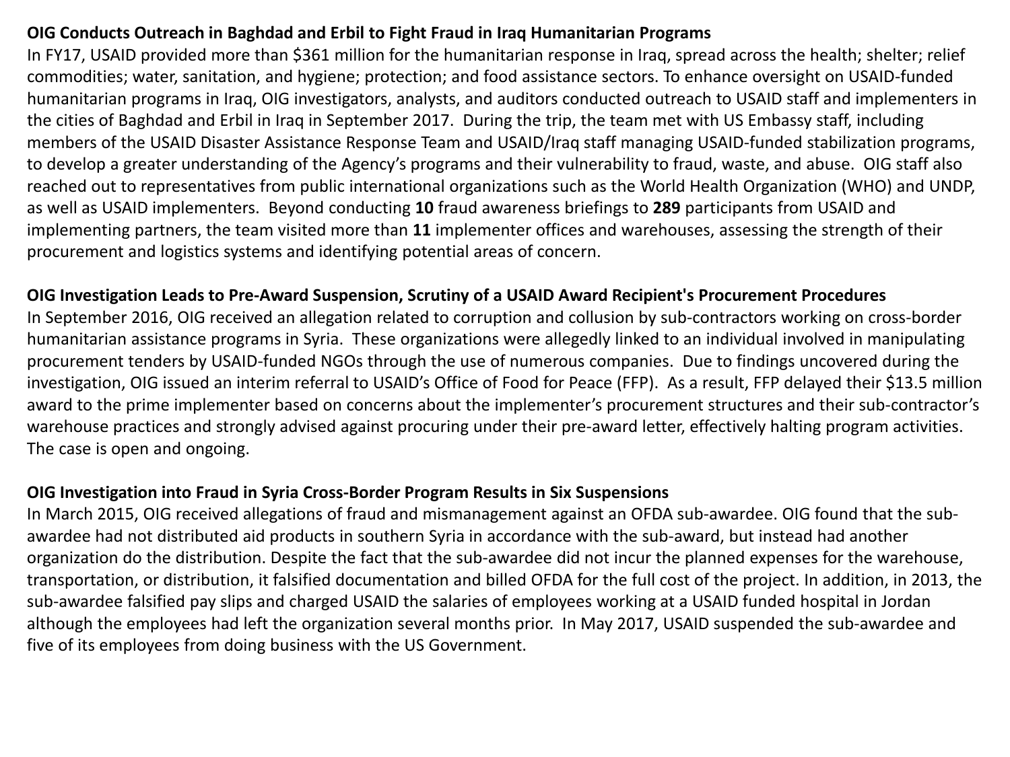## **OIG Conducts Outreach in Baghdad and Erbil to Fight Fraud in Iraq Humanitarian Programs**

In FY17, USAID provided more than \$361 million for the humanitarian response in Iraq, spread across the health; shelter; relief commodities; water, sanitation, and hygiene; protection; and food assistance sectors. To enhance oversight on USAID-funded humanitarian programs in Iraq, OIG investigators, analysts, and auditors conducted outreach to USAID staff and implementers in the cities of Baghdad and Erbil in Iraq in September 2017. During the trip, the team met with US Embassy staff, including members of the USAID Disaster Assistance Response Team and USAID/Iraq staff managing USAID-funded stabilization programs, to develop a greater understanding of the Agency's programs and their vulnerability to fraud, waste, and abuse. OIG staff also reached out to representatives from public international organizations such as the World Health Organization (WHO) and UNDP, as well as USAID implementers. Beyond conducting **10** fraud awareness briefings to **289** participants from USAID and implementing partners, the team visited more than **11** implementer offices and warehouses, assessing the strength of their procurement and logistics systems and identifying potential areas of concern.

#### **OIG Investigation Leads to Pre-Award Suspension, Scrutiny of a USAID Award Recipient's Procurement Procedures**

In September 2016, OIG received an allegation related to corruption and collusion by sub-contractors working on cross-border humanitarian assistance programs in Syria. These organizations were allegedly linked to an individual involved in manipulating procurement tenders by USAID-funded NGOs through the use of numerous companies. Due to findings uncovered during the investigation, OIG issued an interim referral to USAID's Office of Food for Peace (FFP). As a result, FFP delayed their \$13.5 million award to the prime implementer based on concerns about the implementer's procurement structures and their sub-contractor's warehouse practices and strongly advised against procuring under their pre-award letter, effectively halting program activities. The case is open and ongoing.

#### **OIG Investigation into Fraud in Syria Cross-Border Program Results in Six Suspensions**

In March 2015, OIG received allegations of fraud and mismanagement against an OFDA sub-awardee. OIG found that the subawardee had not distributed aid products in southern Syria in accordance with the sub-award, but instead had another organization do the distribution. Despite the fact that the sub-awardee did not incur the planned expenses for the warehouse, transportation, or distribution, it falsified documentation and billed OFDA for the full cost of the project. In addition, in 2013, the sub-awardee falsified pay slips and charged USAID the salaries of employees working at a USAID funded hospital in Jordan although the employees had left the organization several months prior. In May 2017, USAID suspended the sub-awardee and five of its employees from doing business with the US Government.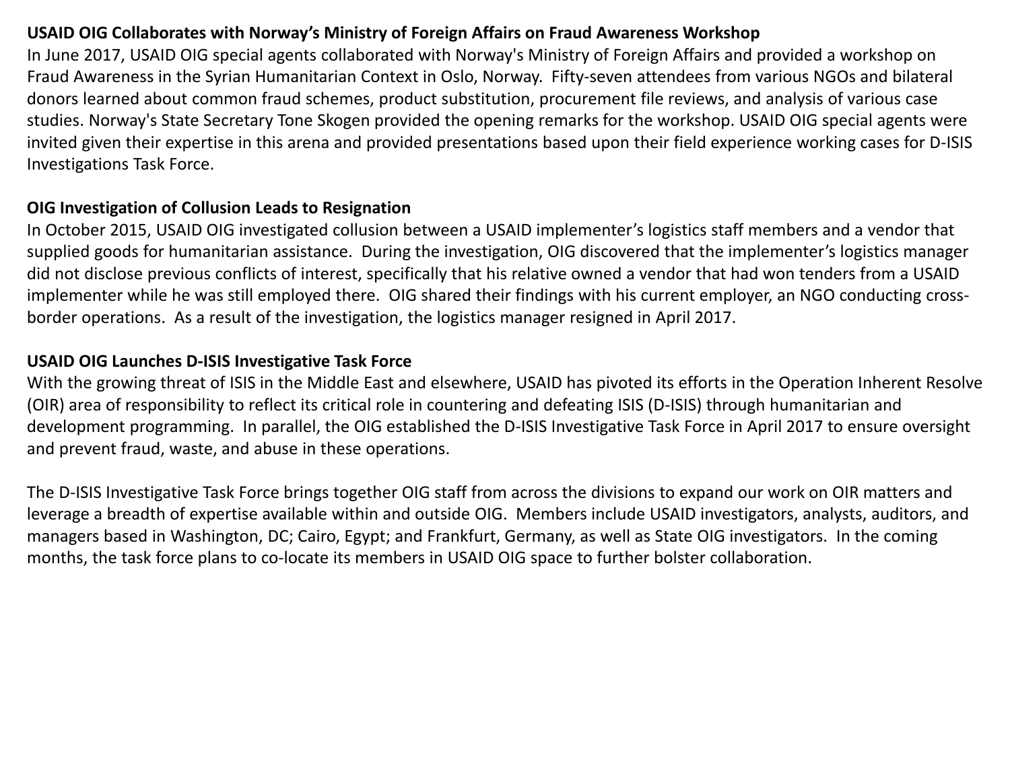#### **USAID OIG Collaborates with Norway's Ministry of Foreign Affairs on Fraud Awareness Workshop**

In June 2017, USAID OIG special agents collaborated with Norway's Ministry of Foreign Affairs and provided a workshop on Fraud Awareness in the Syrian Humanitarian Context in Oslo, Norway. Fifty-seven attendees from various NGOs and bilateral donors learned about common fraud schemes, product substitution, procurement file reviews, and analysis of various case studies. Norway's State Secretary Tone Skogen provided the opening remarks for the workshop. USAID OIG special agents were invited given their expertise in this arena and provided presentations based upon their field experience working cases for D-ISIS Investigations Task Force.

#### **OIG Investigation of Collusion Leads to Resignation**

In October 2015, USAID OIG investigated collusion between a USAID implementer's logistics staff members and a vendor that supplied goods for humanitarian assistance. During the investigation, OIG discovered that the implementer's logistics manager did not disclose previous conflicts of interest, specifically that his relative owned a vendor that had won tenders from a USAID implementer while he was still employed there. OIG shared their findings with his current employer, an NGO conducting crossborder operations. As a result of the investigation, the logistics manager resigned in April 2017.

#### **USAID OIG Launches D-ISIS Investigative Task Force**

With the growing threat of ISIS in the Middle East and elsewhere, USAID has pivoted its efforts in the Operation Inherent Resolve (OIR) area of responsibility to reflect its critical role in countering and defeating ISIS (D-ISIS) through humanitarian and development programming. In parallel, the OIG established the D-ISIS Investigative Task Force in April 2017 to ensure oversight and prevent fraud, waste, and abuse in these operations.

The D-ISIS Investigative Task Force brings together OIG staff from across the divisions to expand our work on OIR matters and leverage a breadth of expertise available within and outside OIG. Members include USAID investigators, analysts, auditors, and managers based in Washington, DC; Cairo, Egypt; and Frankfurt, Germany, as well as State OIG investigators. In the coming months, the task force plans to co-locate its members in USAID OIG space to further bolster collaboration.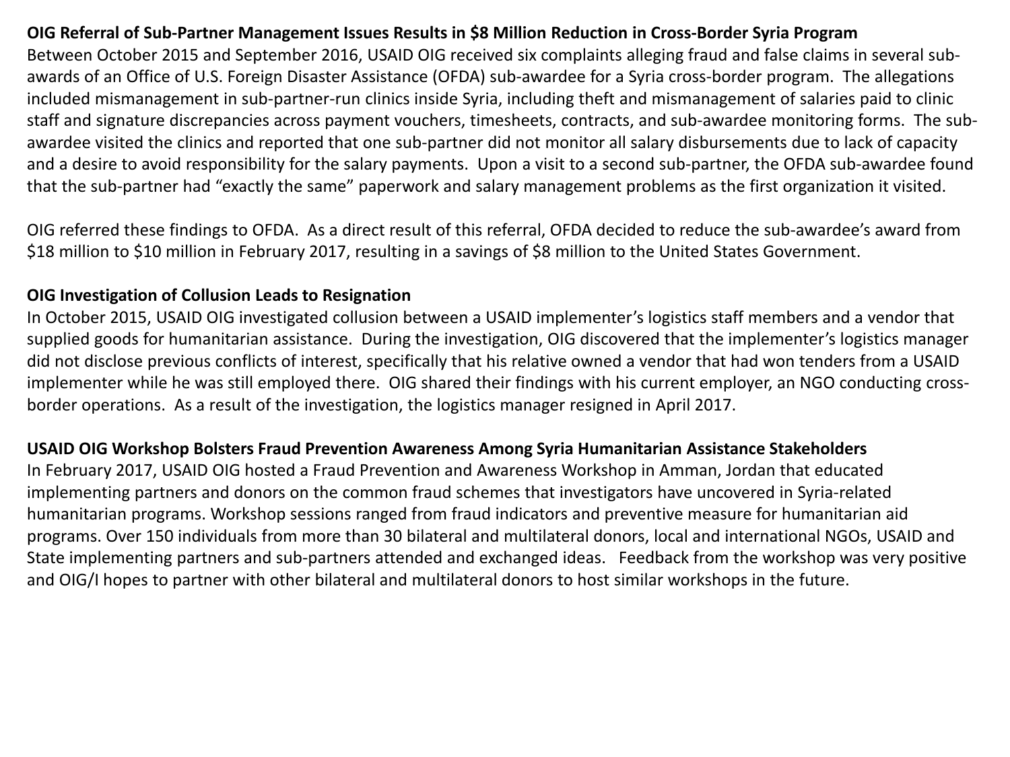#### **OIG Referral of Sub-Partner Management Issues Results in \$8 Million Reduction in Cross-Border Syria Program**

Between October 2015 and September 2016, USAID OIG received six complaints alleging fraud and false claims in several subawards of an Office of U.S. Foreign Disaster Assistance (OFDA) sub-awardee for a Syria cross-border program. The allegations included mismanagement in sub-partner-run clinics inside Syria, including theft and mismanagement of salaries paid to clinic staff and signature discrepancies across payment vouchers, timesheets, contracts, and sub-awardee monitoring forms. The subawardee visited the clinics and reported that one sub-partner did not monitor all salary disbursements due to lack of capacity and a desire to avoid responsibility for the salary payments. Upon a visit to a second sub-partner, the OFDA sub-awardee found that the sub-partner had "exactly the same" paperwork and salary management problems as the first organization it visited.

OIG referred these findings to OFDA. As a direct result of this referral, OFDA decided to reduce the sub-awardee's award from \$18 million to \$10 million in February 2017, resulting in a savings of \$8 million to the United States Government.

#### **OIG Investigation of Collusion Leads to Resignation**

In October 2015, USAID OIG investigated collusion between a USAID implementer's logistics staff members and a vendor that supplied goods for humanitarian assistance. During the investigation, OIG discovered that the implementer's logistics manager did not disclose previous conflicts of interest, specifically that his relative owned a vendor that had won tenders from a USAID implementer while he was still employed there. OIG shared their findings with his current employer, an NGO conducting crossborder operations. As a result of the investigation, the logistics manager resigned in April 2017.

#### **USAID OIG Workshop Bolsters Fraud Prevention Awareness Among Syria Humanitarian Assistance Stakeholders**

In February 2017, USAID OIG hosted a Fraud Prevention and Awareness Workshop in Amman, Jordan that educated implementing partners and donors on the common fraud schemes that investigators have uncovered in Syria-related humanitarian programs. Workshop sessions ranged from fraud indicators and preventive measure for humanitarian aid programs. Over 150 individuals from more than 30 bilateral and multilateral donors, local and international NGOs, USAID and State implementing partners and sub-partners attended and exchanged ideas. Feedback from the workshop was very positive and OIG/I hopes to partner with other bilateral and multilateral donors to host similar workshops in the future.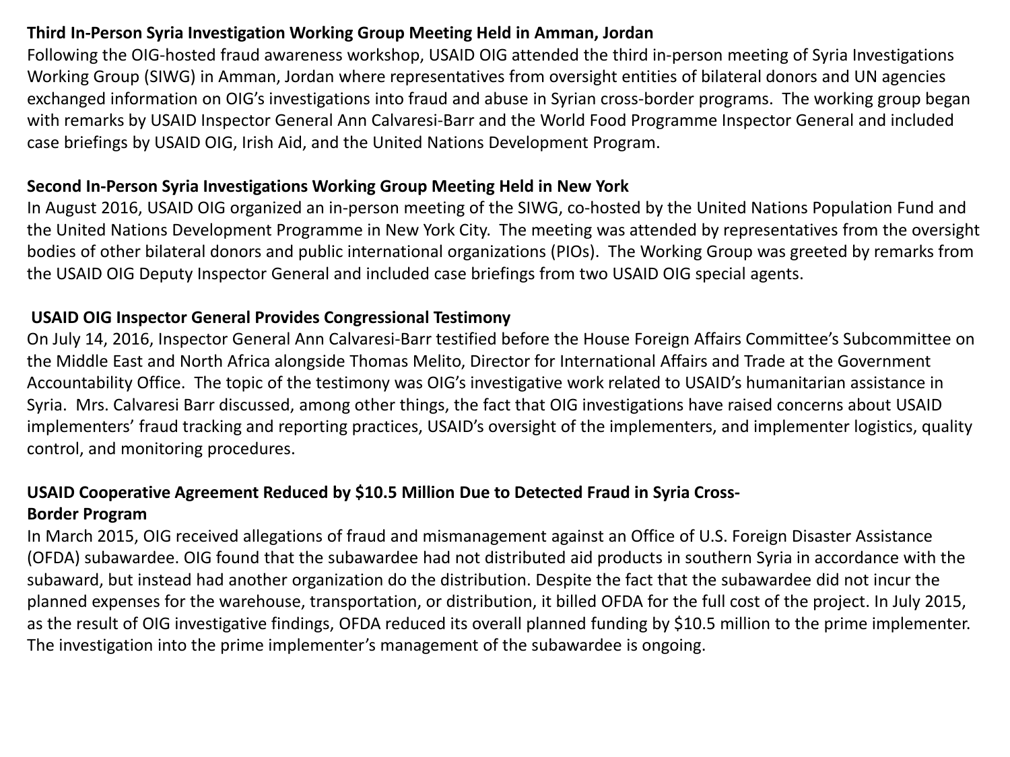## **Third In-Person Syria Investigation Working Group Meeting Held in Amman, Jordan**

Following the OIG-hosted fraud awareness workshop, USAID OIG attended the third in-person meeting of Syria Investigations Working Group (SIWG) in Amman, Jordan where representatives from oversight entities of bilateral donors and UN agencies exchanged information on OIG's investigations into fraud and abuse in Syrian cross-border programs. The working group began with remarks by USAID Inspector General Ann Calvaresi-Barr and the World Food Programme Inspector General and included case briefings by USAID OIG, Irish Aid, and the United Nations Development Program.

#### **Second In-Person Syria Investigations Working Group Meeting Held in New York**

In August 2016, USAID OIG organized an in-person meeting of the SIWG, co-hosted by the United Nations Population Fund and the United Nations Development Programme in New York City. The meeting was attended by representatives from the oversight bodies of other bilateral donors and public international organizations (PIOs). The Working Group was greeted by remarks from the USAID OIG Deputy Inspector General and included case briefings from two USAID OIG special agents.

## **USAID OIG Inspector General Provides Congressional Testimony**

On July 14, 2016, Inspector General Ann Calvaresi-Barr testified before the House Foreign Affairs Committee's Subcommittee on the Middle East and North Africa alongside Thomas Melito, Director for International Affairs and Trade at the Government Accountability Office. The topic of the testimony was OIG's investigative work related to USAID's humanitarian assistance in Syria. Mrs. Calvaresi Barr discussed, among other things, the fact that OIG investigations have raised concerns about USAID implementers' fraud tracking and reporting practices, USAID's oversight of the implementers, and implementer logistics, quality control, and monitoring procedures.

## **USAID Cooperative Agreement Reduced by \$10.5 Million Due to Detected Fraud in Syria Cross-**

## **Border Program**

In March 2015, OIG received allegations of fraud and mismanagement against an Office of U.S. Foreign Disaster Assistance (OFDA) subawardee. OIG found that the subawardee had not distributed aid products in southern Syria in accordance with the subaward, but instead had another organization do the distribution. Despite the fact that the subawardee did not incur the planned expenses for the warehouse, transportation, or distribution, it billed OFDA for the full cost of the project. In July 2015, as the result of OIG investigative findings, OFDA reduced its overall planned funding by \$10.5 million to the prime implementer. The investigation into the prime implementer's management of the subawardee is ongoing.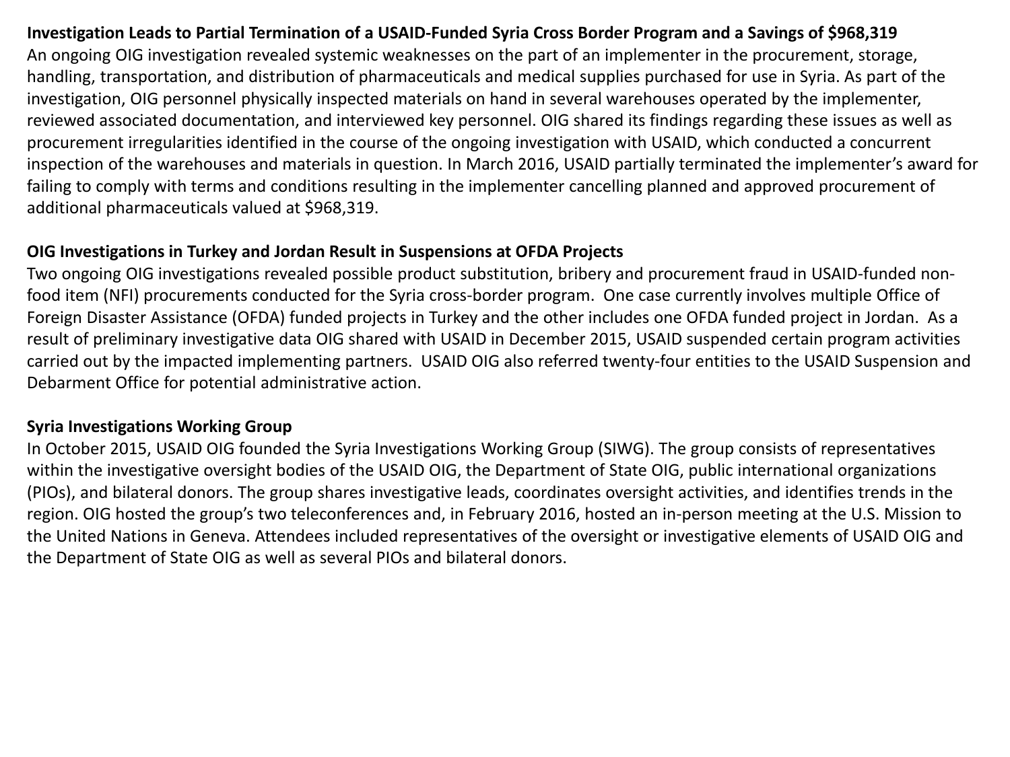#### **Investigation Leads to Partial Termination of a USAID-Funded Syria Cross Border Program and a Savings of \$968,319**

An ongoing OIG investigation revealed systemic weaknesses on the part of an implementer in the procurement, storage, handling, transportation, and distribution of pharmaceuticals and medical supplies purchased for use in Syria. As part of the investigation, OIG personnel physically inspected materials on hand in several warehouses operated by the implementer, reviewed associated documentation, and interviewed key personnel. OIG shared its findings regarding these issues as well as procurement irregularities identified in the course of the ongoing investigation with USAID, which conducted a concurrent inspection of the warehouses and materials in question. In March 2016, USAID partially terminated the implementer's award for failing to comply with terms and conditions resulting in the implementer cancelling planned and approved procurement of additional pharmaceuticals valued at \$968,319.

#### **OIG Investigations in Turkey and Jordan Result in Suspensions at OFDA Projects**

Two ongoing OIG investigations revealed possible product substitution, bribery and procurement fraud in USAID-funded nonfood item (NFI) procurements conducted for the Syria cross-border program. One case currently involves multiple Office of Foreign Disaster Assistance (OFDA) funded projects in Turkey and the other includes one OFDA funded project in Jordan. As a result of preliminary investigative data OIG shared with USAID in December 2015, USAID suspended certain program activities carried out by the impacted implementing partners. USAID OIG also referred twenty-four entities to the USAID Suspension and Debarment Office for potential administrative action.

## **Syria Investigations Working Group**

In October 2015, USAID OIG founded the Syria Investigations Working Group (SIWG). The group consists of representatives within the investigative oversight bodies of the USAID OIG, the Department of State OIG, public international organizations (PIOs), and bilateral donors. The group shares investigative leads, coordinates oversight activities, and identifies trends in the region. OIG hosted the group's two teleconferences and, in February 2016, hosted an in-person meeting at the U.S. Mission to the United Nations in Geneva. Attendees included representatives of the oversight or investigative elements of USAID OIG and the Department of State OIG as well as several PIOs and bilateral donors.